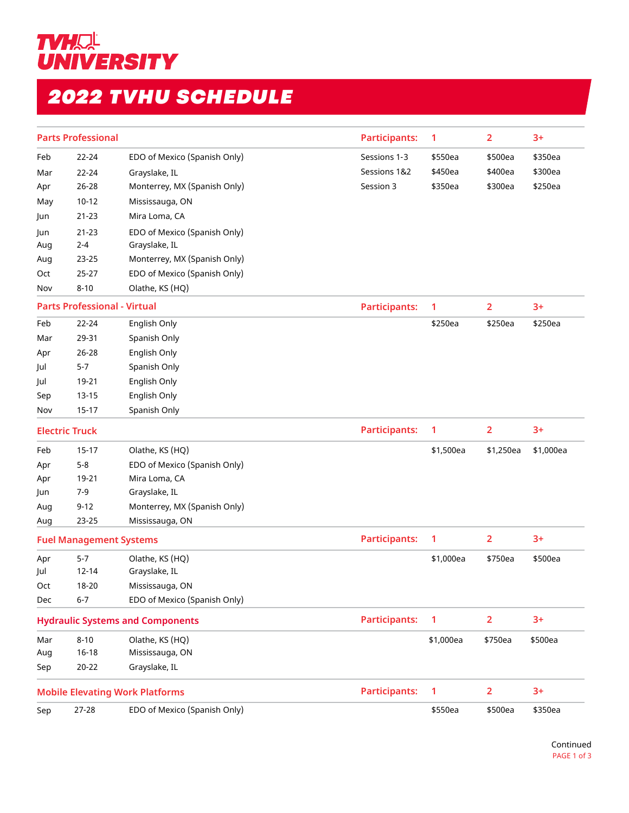

## *2022 TVHU SCHEDULE*

| <b>Parts Professional</b>               |                                |                              | <b>Participants:</b> | $\mathbf{1}$   | $\overline{2}$ | $3+$      |
|-----------------------------------------|--------------------------------|------------------------------|----------------------|----------------|----------------|-----------|
| Feb                                     | 22-24                          | EDO of Mexico (Spanish Only) | Sessions 1-3         | \$550ea        | \$500ea        | \$350ea   |
| Mar                                     | 22-24                          | Grayslake, IL                | Sessions 1&2         | \$450ea        | \$400ea        | \$300ea   |
| Apr                                     | 26-28                          | Monterrey, MX (Spanish Only) | Session 3            | \$350ea        | \$300ea        | \$250ea   |
| May                                     | $10 - 12$                      | Mississauga, ON              |                      |                |                |           |
| Jun                                     | $21 - 23$                      | Mira Loma, CA                |                      |                |                |           |
| Jun                                     | $21 - 23$                      | EDO of Mexico (Spanish Only) |                      |                |                |           |
| Aug                                     | $2 - 4$                        | Grayslake, IL                |                      |                |                |           |
| Aug                                     | $23 - 25$                      | Monterrey, MX (Spanish Only) |                      |                |                |           |
| Oct                                     | 25-27                          | EDO of Mexico (Spanish Only) |                      |                |                |           |
| Nov                                     | $8 - 10$                       | Olathe, KS (HQ)              |                      |                |                |           |
| <b>Parts Professional - Virtual</b>     |                                | <b>Participants:</b>         | 1                    | $\overline{2}$ | $3+$           |           |
| Feb                                     | 22-24                          | English Only                 |                      | \$250ea        | \$250ea        | \$250ea   |
| Mar                                     | 29-31                          | Spanish Only                 |                      |                |                |           |
| Apr                                     | 26-28                          | English Only                 |                      |                |                |           |
| Jul                                     | $5 - 7$                        | Spanish Only                 |                      |                |                |           |
| Jul                                     | 19-21                          | English Only                 |                      |                |                |           |
| Sep                                     | $13 - 15$                      | English Only                 |                      |                |                |           |
| Nov                                     | $15 - 17$                      | Spanish Only                 |                      |                |                |           |
| <b>Electric Truck</b>                   |                                | <b>Participants:</b>         | 1                    | $\overline{2}$ | $3+$           |           |
| Feb                                     | $15-17$                        | Olathe, KS (HQ)              |                      | \$1,500ea      | \$1,250ea      | \$1,000ea |
| Apr                                     | $5 - 8$                        | EDO of Mexico (Spanish Only) |                      |                |                |           |
| Apr                                     | 19-21                          | Mira Loma, CA                |                      |                |                |           |
| Jun                                     | $7 - 9$                        | Grayslake, IL                |                      |                |                |           |
| Aug                                     | $9 - 12$                       | Monterrey, MX (Spanish Only) |                      |                |                |           |
| Aug                                     | 23-25                          | Mississauga, ON              |                      |                |                |           |
|                                         | <b>Fuel Management Systems</b> |                              | <b>Participants:</b> | 1              | $\overline{2}$ | $3+$      |
| Apr                                     | $5 - 7$                        | Olathe, KS (HQ)              |                      | \$1,000ea      | \$750ea        | \$500ea   |
| Jul                                     | $12 - 14$                      | Grayslake, IL                |                      |                |                |           |
| Oct                                     | 18-20                          | Mississauga, ON              |                      |                |                |           |
| Dec                                     | $6 - 7$                        | EDO of Mexico (Spanish Only) |                      |                |                |           |
| <b>Hydraulic Systems and Components</b> |                                |                              | <b>Participants:</b> | 1              | $\overline{2}$ | $3+$      |
| Mar                                     | $8 - 10$                       | Olathe, KS (HQ)              |                      | \$1,000ea      | \$750ea        | \$500ea   |
| Aug                                     | $16 - 18$                      | Mississauga, ON              |                      |                |                |           |
| Sep                                     | $20 - 22$                      | Grayslake, IL                |                      |                |                |           |
| <b>Mobile Elevating Work Platforms</b>  |                                | <b>Participants:</b>         | 1                    | $\overline{2}$ | $3+$           |           |
| Sep                                     | 27-28                          | EDO of Mexico (Spanish Only) |                      | \$550ea        | \$500ea        | \$350ea   |
|                                         |                                |                              |                      |                |                |           |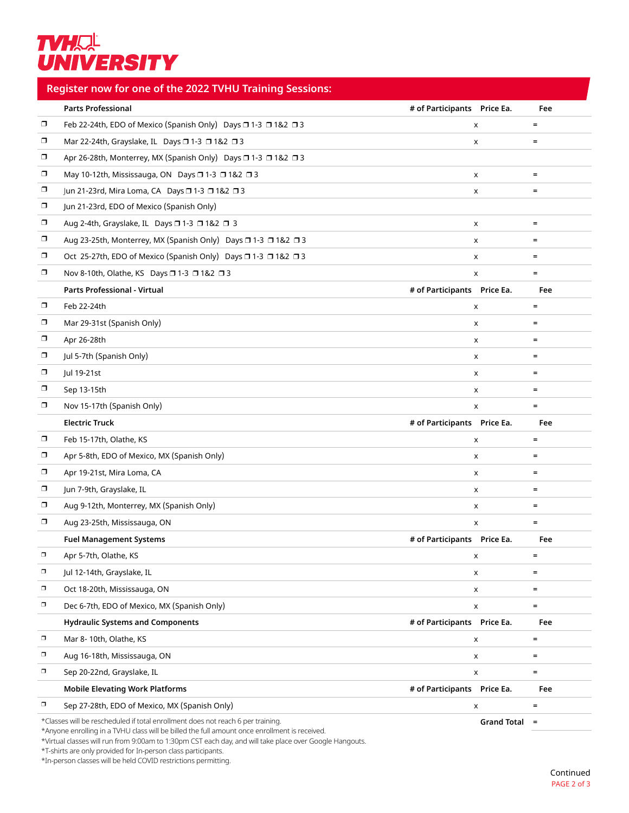## **TVHAL**<br>UNIVERSITY

## **Register now for one of the 2022 TVHU Training Sessions:**

|        | <b>Parts Professional</b>                                                       | # of Participants    Price Ea. |                    | Fee               |
|--------|---------------------------------------------------------------------------------|--------------------------------|--------------------|-------------------|
| σ      | Feb 22-24th, EDO of Mexico (Spanish Only) Days □ 1-3 □ 1&2 □ 3                  |                                | x                  | $\equiv$          |
| σ      | Mar 22-24th, Grayslake, IL Days 0 1-3 0 1&2 0 3                                 |                                | X                  | $\equiv$          |
| σ      | Apr 26-28th, Monterrey, MX (Spanish Only) Days □ 1-3 □ 1&2 □ 3                  |                                |                    |                   |
| σ      | May 10-12th, Mississauga, ON Days □ 1-3 □ 1&2 □ 3                               |                                | X                  | $\equiv$          |
| σ      | Jun 21-23rd, Mira Loma, CA Days □ 1-3 □ 1&2 □ 3                                 |                                | x                  | $\equiv$          |
| σ      | Jun 21-23rd, EDO of Mexico (Spanish Only)                                       |                                |                    |                   |
| $\Box$ | Aug 2-4th, Grayslake, IL Days □ 1-3 □ 1&2 □ 3                                   |                                | X                  | $\equiv$          |
| σ      | Aug 23-25th, Monterrey, MX (Spanish Only) Days □ 1-3 □ 1&2 □ 3                  |                                | x                  | $\equiv$          |
| σ      | Oct 25-27th, EDO of Mexico (Spanish Only) Days □ 1-3 □ 1&2 □ 3                  |                                | x                  | $\equiv$          |
| σ      | Nov 8-10th, Olathe, KS Days □ 1-3 □ 1&2 □ 3                                     |                                | X                  | $\equiv$          |
|        | Parts Professional - Virtual                                                    | # of Participants    Price Ea. |                    | Fee               |
| σ      | Feb 22-24th                                                                     |                                | X                  | $\equiv$          |
| σ      | Mar 29-31st (Spanish Only)                                                      |                                | X                  | $=$               |
| σ      | Apr 26-28th                                                                     |                                | x                  | $=$               |
| σ      | Jul 5-7th (Spanish Only)                                                        |                                | X                  | $\equiv$          |
| σ      | Jul 19-21st                                                                     |                                | x                  | $\equiv$          |
| σ      | Sep 13-15th                                                                     |                                | X                  | $=$               |
| σ      | Nov 15-17th (Spanish Only)                                                      |                                | X                  | $\equiv$          |
|        | <b>Electric Truck</b>                                                           | # of Participants    Price Ea. |                    | Fee               |
| σ      | Feb 15-17th, Olathe, KS                                                         |                                | x                  | $\equiv$          |
| $\Box$ | Apr 5-8th, EDO of Mexico, MX (Spanish Only)                                     |                                | X                  | $\equiv$          |
| σ      | Apr 19-21st, Mira Loma, CA                                                      |                                | x                  | $\qquad \qquad =$ |
| σ      | Jun 7-9th, Grayslake, IL                                                        |                                | X                  | $\equiv$          |
| σ      | Aug 9-12th, Monterrey, MX (Spanish Only)                                        |                                | x                  | $\equiv$          |
| σ      | Aug 23-25th, Mississauga, ON                                                    |                                | X                  | $\equiv$          |
|        | <b>Fuel Management Systems</b>                                                  | # of Participants    Price Ea. |                    | Fee               |
| σ      | Apr 5-7th, Olathe, KS                                                           |                                | X                  |                   |
| σ      | Jul 12-14th, Grayslake, IL                                                      |                                | x                  | $\equiv$          |
| σ      | Oct 18-20th, Mississauga, ON                                                    |                                | x                  | $\equiv$          |
| $\Box$ | Dec 6-7th, EDO of Mexico, MX (Spanish Only)                                     |                                | X                  | $=$               |
|        | <b>Hydraulic Systems and Components</b>                                         | # of Participants    Price Ea. |                    | Fee               |
| σ      | Mar 8-10th, Olathe, KS                                                          |                                | X                  | $\equiv$          |
| σ      | Aug 16-18th, Mississauga, ON                                                    |                                | X                  | $\equiv$          |
| $\Box$ | Sep 20-22nd, Grayslake, IL                                                      |                                | X                  | $\equiv$          |
|        | <b>Mobile Elevating Work Platforms</b>                                          | # of Participants    Price Ea. |                    | Fee               |
| σ      | Sep 27-28th, EDO of Mexico, MX (Spanish Only)                                   |                                | X                  | $\equiv$          |
|        | *Classes will be rescheduled if total enrollment does not reach 6 per training. |                                | <b>Grand Total</b> | $\equiv$          |

\*Anyone enrolling in a TVHU class will be billed the full amount once enrollment is received.

\*Virtual classes will run from 9:00am to 1:30pm CST each day, and will take place over Google Hangouts.

\*T-shirts are only provided for In-person class participants.

\*In-person classes will be held COVID restrictions permitting.